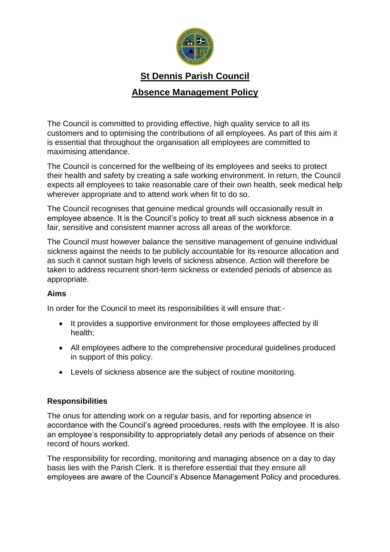

# **St Dennis Parish Council**

# **Absence Management Policy**

The Council is committed to providing effective, high quality service to all its customers and to optimising the contributions of all employees. As part of this aim it is essential that throughout the organisation all employees are committed to maximising attendance.

The Council is concerned for the wellbeing of its employees and seeks to protect their health and safety by creating a safe working environment. In return, the Council expects all employees to take reasonable care of their own health, seek medical help wherever appropriate and to attend work when fit to do so.

The Council recognises that genuine medical grounds will occasionally result in employee absence. It is the Council's policy to treat all such sickness absence in a fair, sensitive and consistent manner across all areas of the workforce.

The Council must however balance the sensitive management of genuine individual sickness against the needs to be publicly accountable for its resource allocation and as such it cannot sustain high levels of sickness absence. Action will therefore be taken to address recurrent short-term sickness or extended periods of absence as appropriate.

# **Aims**

In order for the Council to meet its responsibilities it will ensure that:-

- It provides a supportive environment for those employees affected by ill health;
- All employees adhere to the comprehensive procedural guidelines produced in support of this policy.
- Levels of sickness absence are the subject of routine monitoring.

#### **Responsibilities**

The onus for attending work on a regular basis, and for reporting absence in accordance with the Council's agreed procedures, rests with the employee. It is also an employee's responsibility to appropriately detail any periods of absence on their record of hours worked.

The responsibility for recording, monitoring and managing absence on a day to day basis lies with the Parish Clerk. It is therefore essential that they ensure all employees are aware of the Council's Absence Management Policy and procedures.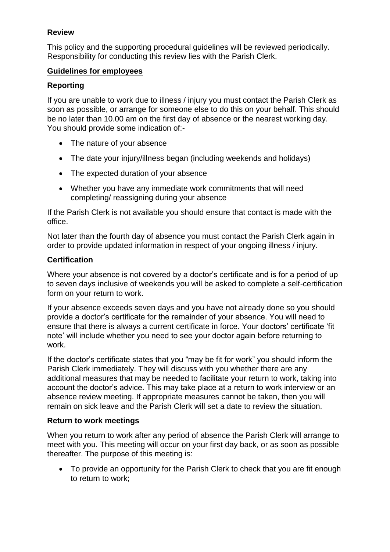# **Review**

This policy and the supporting procedural guidelines will be reviewed periodically. Responsibility for conducting this review lies with the Parish Clerk.

### **Guidelines for employees**

# **Reporting**

If you are unable to work due to illness / injury you must contact the Parish Clerk as soon as possible, or arrange for someone else to do this on your behalf. This should be no later than 10.00 am on the first day of absence or the nearest working day. You should provide some indication of:-

- The nature of your absence
- The date your injury/illness began (including weekends and holidays)
- The expected duration of your absence
- Whether you have any immediate work commitments that will need completing/ reassigning during your absence

If the Parish Clerk is not available you should ensure that contact is made with the office.

Not later than the fourth day of absence you must contact the Parish Clerk again in order to provide updated information in respect of your ongoing illness / injury.

### **Certification**

Where your absence is not covered by a doctor's certificate and is for a period of up to seven days inclusive of weekends you will be asked to complete a self-certification form on your return to work.

If your absence exceeds seven days and you have not already done so you should provide a doctor's certificate for the remainder of your absence. You will need to ensure that there is always a current certificate in force. Your doctors' certificate 'fit note' will include whether you need to see your doctor again before returning to work.

If the doctor's certificate states that you "may be fit for work" you should inform the Parish Clerk immediately. They will discuss with you whether there are any additional measures that may be needed to facilitate your return to work, taking into account the doctor's advice. This may take place at a return to work interview or an absence review meeting. If appropriate measures cannot be taken, then you will remain on sick leave and the Parish Clerk will set a date to review the situation.

#### **Return to work meetings**

When you return to work after any period of absence the Parish Clerk will arrange to meet with you. This meeting will occur on your first day back, or as soon as possible thereafter. The purpose of this meeting is:

• To provide an opportunity for the Parish Clerk to check that you are fit enough to return to work;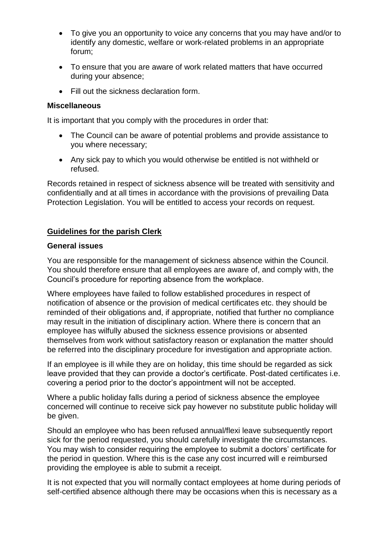- To give you an opportunity to voice any concerns that you may have and/or to identify any domestic, welfare or work-related problems in an appropriate forum;
- To ensure that you are aware of work related matters that have occurred during your absence;
- Fill out the sickness declaration form.

#### **Miscellaneous**

It is important that you comply with the procedures in order that:

- The Council can be aware of potential problems and provide assistance to you where necessary;
- Any sick pay to which you would otherwise be entitled is not withheld or refused.

Records retained in respect of sickness absence will be treated with sensitivity and confidentially and at all times in accordance with the provisions of prevailing Data Protection Legislation. You will be entitled to access your records on request.

### **Guidelines for the parish Clerk**

#### **General issues**

You are responsible for the management of sickness absence within the Council. You should therefore ensure that all employees are aware of, and comply with, the Council's procedure for reporting absence from the workplace.

Where employees have failed to follow established procedures in respect of notification of absence or the provision of medical certificates etc. they should be reminded of their obligations and, if appropriate, notified that further no compliance may result in the initiation of disciplinary action. Where there is concern that an employee has wilfully abused the sickness essence provisions or absented themselves from work without satisfactory reason or explanation the matter should be referred into the disciplinary procedure for investigation and appropriate action.

If an employee is ill while they are on holiday, this time should be regarded as sick leave provided that they can provide a doctor's certificate. Post-dated certificates i.e. covering a period prior to the doctor's appointment will not be accepted.

Where a public holiday falls during a period of sickness absence the employee concerned will continue to receive sick pay however no substitute public holiday will be given.

Should an employee who has been refused annual/flexi leave subsequently report sick for the period requested, you should carefully investigate the circumstances. You may wish to consider requiring the employee to submit a doctors' certificate for the period in question. Where this is the case any cost incurred will e reimbursed providing the employee is able to submit a receipt.

It is not expected that you will normally contact employees at home during periods of self-certified absence although there may be occasions when this is necessary as a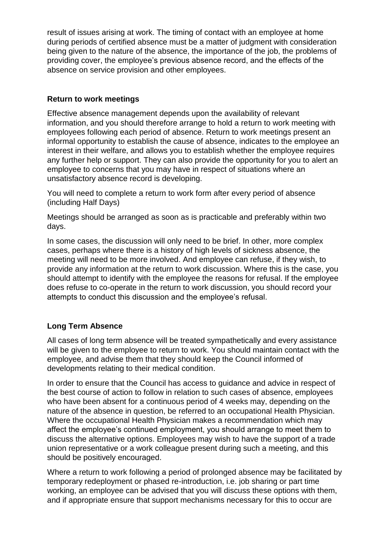result of issues arising at work. The timing of contact with an employee at home during periods of certified absence must be a matter of judgment with consideration being given to the nature of the absence, the importance of the job, the problems of providing cover, the employee's previous absence record, and the effects of the absence on service provision and other employees.

# **Return to work meetings**

Effective absence management depends upon the availability of relevant information, and you should therefore arrange to hold a return to work meeting with employees following each period of absence. Return to work meetings present an informal opportunity to establish the cause of absence, indicates to the employee an interest in their welfare, and allows you to establish whether the employee requires any further help or support. They can also provide the opportunity for you to alert an employee to concerns that you may have in respect of situations where an unsatisfactory absence record is developing.

You will need to complete a return to work form after every period of absence (including Half Days)

Meetings should be arranged as soon as is practicable and preferably within two days.

In some cases, the discussion will only need to be brief. In other, more complex cases, perhaps where there is a history of high levels of sickness absence, the meeting will need to be more involved. And employee can refuse, if they wish, to provide any information at the return to work discussion. Where this is the case, you should attempt to identify with the employee the reasons for refusal. If the employee does refuse to co-operate in the return to work discussion, you should record your attempts to conduct this discussion and the employee's refusal.

# **Long Term Absence**

All cases of long term absence will be treated sympathetically and every assistance will be given to the employee to return to work. You should maintain contact with the employee, and advise them that they should keep the Council informed of developments relating to their medical condition.

In order to ensure that the Council has access to guidance and advice in respect of the best course of action to follow in relation to such cases of absence, employees who have been absent for a continuous period of 4 weeks may, depending on the nature of the absence in question, be referred to an occupational Health Physician. Where the occupational Health Physician makes a recommendation which may affect the employee's continued employment, you should arrange to meet them to discuss the alternative options. Employees may wish to have the support of a trade union representative or a work colleague present during such a meeting, and this should be positively encouraged.

Where a return to work following a period of prolonged absence may be facilitated by temporary redeployment or phased re-introduction, i.e. job sharing or part time working, an employee can be advised that you will discuss these options with them, and if appropriate ensure that support mechanisms necessary for this to occur are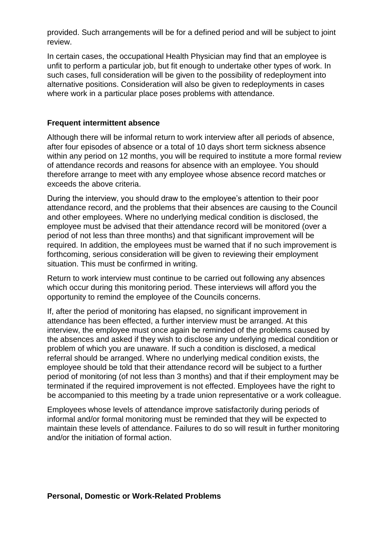provided. Such arrangements will be for a defined period and will be subject to joint review.

In certain cases, the occupational Health Physician may find that an employee is unfit to perform a particular job, but fit enough to undertake other types of work. In such cases, full consideration will be given to the possibility of redeployment into alternative positions. Consideration will also be given to redeployments in cases where work in a particular place poses problems with attendance.

#### **Frequent intermittent absence**

Although there will be informal return to work interview after all periods of absence, after four episodes of absence or a total of 10 days short term sickness absence within any period on 12 months, you will be required to institute a more formal review of attendance records and reasons for absence with an employee. You should therefore arrange to meet with any employee whose absence record matches or exceeds the above criteria.

During the interview, you should draw to the employee's attention to their poor attendance record, and the problems that their absences are causing to the Council and other employees. Where no underlying medical condition is disclosed, the employee must be advised that their attendance record will be monitored (over a period of not less than three months) and that significant improvement will be required. In addition, the employees must be warned that if no such improvement is forthcoming, serious consideration will be given to reviewing their employment situation. This must be confirmed in writing.

Return to work interview must continue to be carried out following any absences which occur during this monitoring period. These interviews will afford you the opportunity to remind the employee of the Councils concerns.

If, after the period of monitoring has elapsed, no significant improvement in attendance has been effected, a further interview must be arranged. At this interview, the employee must once again be reminded of the problems caused by the absences and asked if they wish to disclose any underlying medical condition or problem of which you are unaware. If such a condition is disclosed, a medical referral should be arranged. Where no underlying medical condition exists, the employee should be told that their attendance record will be subject to a further period of monitoring (of not less than 3 months) and that if their employment may be terminated if the required improvement is not effected. Employees have the right to be accompanied to this meeting by a trade union representative or a work colleague.

Employees whose levels of attendance improve satisfactorily during periods of informal and/or formal monitoring must be reminded that they will be expected to maintain these levels of attendance. Failures to do so will result in further monitoring and/or the initiation of formal action.

#### **Personal, Domestic or Work-Related Problems**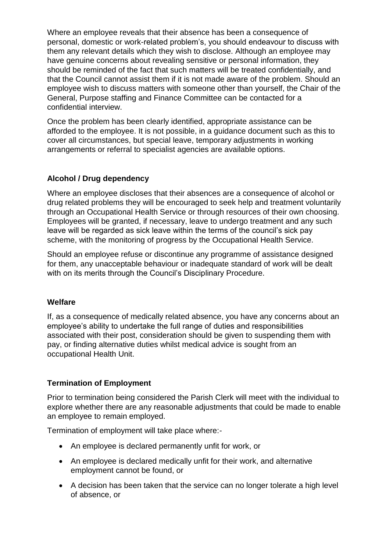Where an employee reveals that their absence has been a consequence of personal, domestic or work-related problem's, you should endeavour to discuss with them any relevant details which they wish to disclose. Although an employee may have genuine concerns about revealing sensitive or personal information, they should be reminded of the fact that such matters will be treated confidentially, and that the Council cannot assist them if it is not made aware of the problem. Should an employee wish to discuss matters with someone other than yourself, the Chair of the General, Purpose staffing and Finance Committee can be contacted for a confidential interview.

Once the problem has been clearly identified, appropriate assistance can be afforded to the employee. It is not possible, in a guidance document such as this to cover all circumstances, but special leave, temporary adjustments in working arrangements or referral to specialist agencies are available options.

# **Alcohol / Drug dependency**

Where an employee discloses that their absences are a consequence of alcohol or drug related problems they will be encouraged to seek help and treatment voluntarily through an Occupational Health Service or through resources of their own choosing. Employees will be granted, if necessary, leave to undergo treatment and any such leave will be regarded as sick leave within the terms of the council's sick pay scheme, with the monitoring of progress by the Occupational Health Service.

Should an employee refuse or discontinue any programme of assistance designed for them, any unacceptable behaviour or inadequate standard of work will be dealt with on its merits through the Council's Disciplinary Procedure.

# **Welfare**

If, as a consequence of medically related absence, you have any concerns about an employee's ability to undertake the full range of duties and responsibilities associated with their post, consideration should be given to suspending them with pay, or finding alternative duties whilst medical advice is sought from an occupational Health Unit.

# **Termination of Employment**

Prior to termination being considered the Parish Clerk will meet with the individual to explore whether there are any reasonable adjustments that could be made to enable an employee to remain employed.

Termination of employment will take place where:-

- An employee is declared permanently unfit for work, or
- An employee is declared medically unfit for their work, and alternative employment cannot be found, or
- A decision has been taken that the service can no longer tolerate a high level of absence, or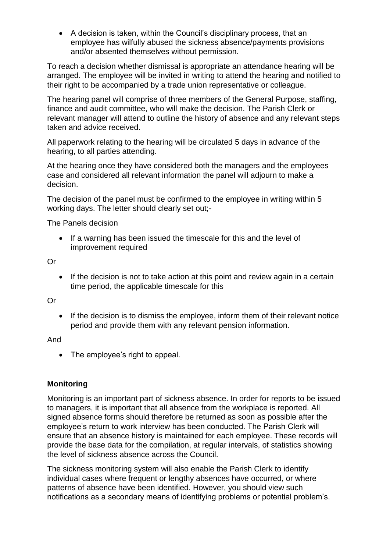• A decision is taken, within the Council's disciplinary process, that an employee has wilfully abused the sickness absence/payments provisions and/or absented themselves without permission.

To reach a decision whether dismissal is appropriate an attendance hearing will be arranged. The employee will be invited in writing to attend the hearing and notified to their right to be accompanied by a trade union representative or colleague.

The hearing panel will comprise of three members of the General Purpose, staffing, finance and audit committee, who will make the decision. The Parish Clerk or relevant manager will attend to outline the history of absence and any relevant steps taken and advice received.

All paperwork relating to the hearing will be circulated 5 days in advance of the hearing, to all parties attending.

At the hearing once they have considered both the managers and the employees case and considered all relevant information the panel will adjourn to make a decision.

The decision of the panel must be confirmed to the employee in writing within 5 working days. The letter should clearly set out;-

The Panels decision

• If a warning has been issued the timescale for this and the level of improvement required

Or

• If the decision is not to take action at this point and review again in a certain time period, the applicable timescale for this

Or

• If the decision is to dismiss the employee, inform them of their relevant notice period and provide them with any relevant pension information.

And

• The employee's right to appeal.

# **Monitoring**

Monitoring is an important part of sickness absence. In order for reports to be issued to managers, it is important that all absence from the workplace is reported. All signed absence forms should therefore be returned as soon as possible after the employee's return to work interview has been conducted. The Parish Clerk will ensure that an absence history is maintained for each employee. These records will provide the base data for the compilation, at regular intervals, of statistics showing the level of sickness absence across the Council.

The sickness monitoring system will also enable the Parish Clerk to identify individual cases where frequent or lengthy absences have occurred, or where patterns of absence have been identified. However, you should view such notifications as a secondary means of identifying problems or potential problem's.